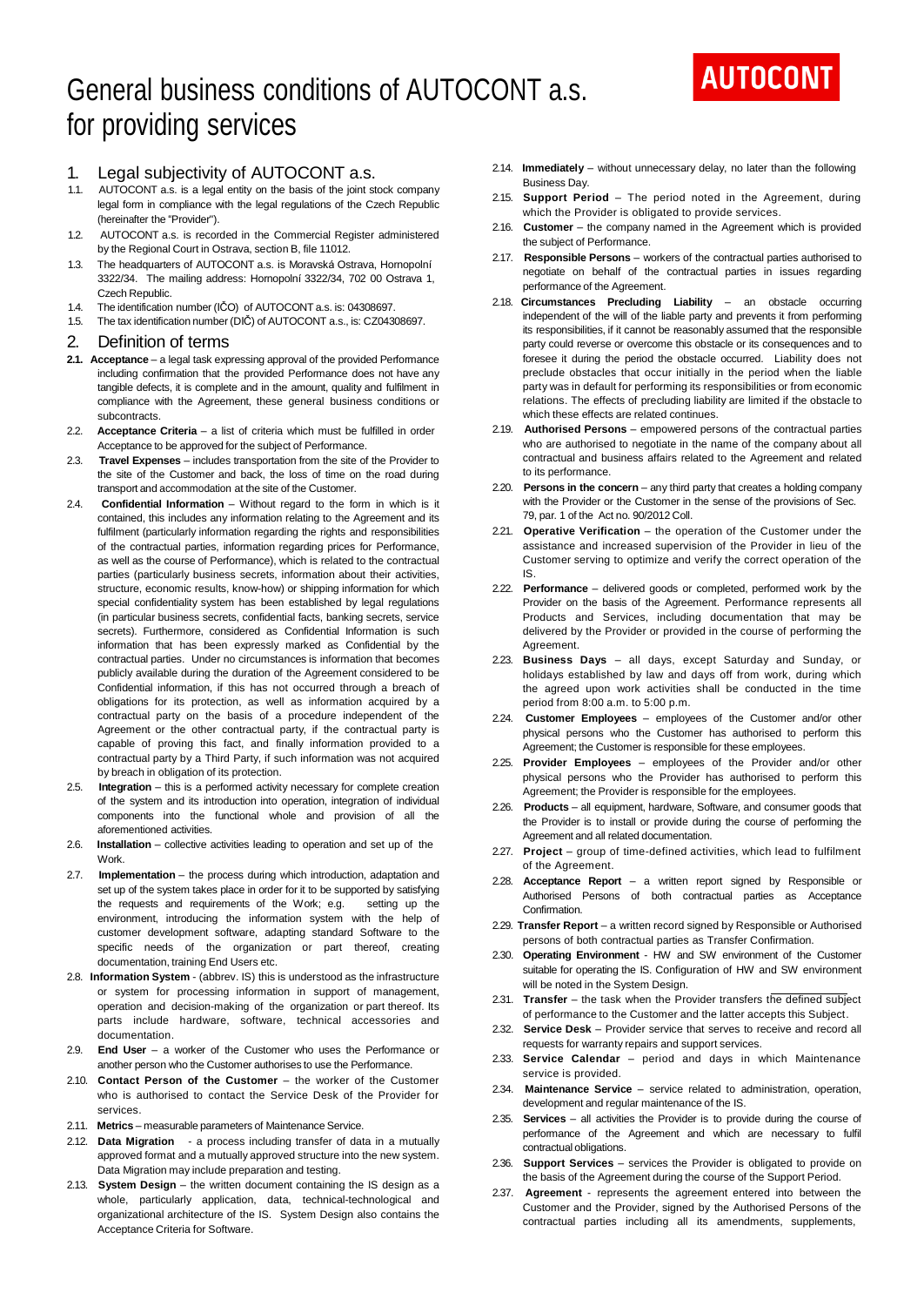# General business conditions of AUTOCONT a.s. for providing services

# 1. Legal subjectivity of AUTOCONT a.s.

- 1.1. AUTOCONT a.s. is a legal entity on the basis of the joint stock company legal form in compliance with the legal regulations of the Czech Republic (hereinafter the "Provider").
- 1.2. AUTOCONT a.s. is recorded in the Commercial Register administered by the Regional Court in Ostrava, section B, file 11012.
- 1.3. The headquarters of AUTOCONT a.s. is Moravská Ostrava, Hornopolní 3322/34. The mailing address: Hornopolní 3322/34, 702 00 Ostrava 1,
- Czech Republic. 1.4. The identification number (IČO) of AUTOCONT a.s. is: 04308697.
- 1.5. The tax identification number (DIČ) of AUTOCONT a.s., is: CZ04308697.
- 2. Definition of terms
- **2.1. Acceptance**  a legal task expressing approval of the provided Performance including confirmation that the provided Performance does not have any tangible defects, it is complete and in the amount, quality and fulfilment in compliance with the Agreement, these general business conditions or subcontracts.
- 2.2. **Acceptance Criteria** a list of criteria which must be fulfilled in order Acceptance to be approved for the subject of Performance.
- 2.3. **Travel Expenses** includes transportation from the site of the Provider to the site of the Customer and back, the loss of time on the road during transport and accommodation at the site of the Customer.
- 2.4. **Confidential Information** Without regard to the form in which is it contained, this includes any information relating to the Agreement and its fulfilment (particularly information regarding the rights and responsibilities of the contractual parties, information regarding prices for Performance, as well as the course of Performance), which is related to the contractual parties (particularly business secrets, information about their activities, structure, economic results, know-how) or shipping information for which special confidentiality system has been established by legal regulations (in particular business secrets, confidential facts, banking secrets, service secrets). Furthermore, considered as Confidential Information is such information that has been expressly marked as Confidential by the contractual parties. Under no circumstances is information that becomes publicly available during the duration of the Agreement considered to be Confidential information, if this has not occurred through a breach of obligations for its protection, as well as information acquired by a contractual party on the basis of a procedure independent of the Agreement or the other contractual party, if the contractual party is capable of proving this fact, and finally information provided to a contractual party by a Third Party, if such information was not acquired by breach in obligation of its protection.
- 2.5. **Integration** this is a performed activity necessary for complete creation of the system and its introduction into operation, integration of individual components into the functional whole and provision of all the aforementioned activities.
- 2.6. **Installation** collective activities leading to operation and set up of the Work.
- 2.7. **Implementation** the process during which introduction, adaptation and set up of the system takes place in order for it to be supported by satisfying the requests and requirements of the Work; e.g. setting up the environment, introducing the information system with the help of customer development software, adapting standard Software to the specific needs of the organization or part thereof, creating documentation, training End Users etc.
- 2.8. **Information System** (abbrev. IS) this is understood as the infrastructure or system for processing information in support of management, operation and decision-making of the organization or part thereof. Its parts include hardware, software, technical accessories and documentation.
- 2.9. **End User** a worker of the Customer who uses the Performance or another person who the Customer authorises to use the Performance.
- 2.10. **Contact Person of the Customer** the worker of the Customer who is authorised to contact the Service Desk of the Provider for services.
- 2.11. **Metrics** measurable parameters of Maintenance Service.
- 2.12. **Data Migration**  a process including transfer of data in a mutually approved format and a mutually approved structure into the new system. Data Migration may include preparation and testing.
- 2.13. **System Design** the written document containing the IS design as a whole, particularly application, data, technical-technological and organizational architecture of the IS. System Design also contains the Acceptance Criteria for Software.
- 2.14. **Immediately** without unnecessary delay, no later than the following Business Day.
- 2.15. **Support Period** The period noted in the Agreement, during which the Provider is obligated to provide services.
- 2.16. **Customer** the company named in the Agreement which is provided the subject of Performance.
- 2.17. **Responsible Persons** workers of the contractual parties authorised to negotiate on behalf of the contractual parties in issues regarding performance of the Agreement.
- 2.18. **Circumstances Precluding Liability**  an obstacle occurring independent of the will of the liable party and prevents it from performing its responsibilities, if it cannot be reasonably assumed that the responsible party could reverse or overcome this obstacle or its consequences and to foresee it during the period the obstacle occurred. Liability does not preclude obstacles that occur initially in the period when the liable party was in default for performing its responsibilities or from economic relations. The effects of precluding liability are limited if the obstacle to which these effects are related continues.
- 2.19. **Authorised Persons**  empowered persons of the contractual parties who are authorised to negotiate in the name of the company about all contractual and business affairs related to the Agreement and related to its performance.
- 2.20. **Persons in the concern** any third party that creates a holding company with the Provider or the Customer in the sense of the provisions of Sec. 79, par. 1 of the Act no. 90/2012 Coll.
- 2.21. **Operative Verification** the operation of the Customer under the assistance and increased supervision of the Provider in lieu of the Customer serving to optimize and verify the correct operation of the IS.
- 2.22. **Performance** delivered goods or completed, performed work by the Provider on the basis of the Agreement. Performance represents all Products and Services, including documentation that may be delivered by the Provider or provided in the course of performing the Agreement.
- 2.23. **Business Days**  all days, except Saturday and Sunday, or holidays established by law and days off from work, during which the agreed upon work activities shall be conducted in the time period from 8:00 a.m. to 5:00 p.m.
- 2.24. **Customer Employees**  employees of the Customer and/or other physical persons who the Customer has authorised to perform this Agreement; the Customer is responsible for these employees.
- 2.25. **Provider Employees**  employees of the Provider and/or other physical persons who the Provider has authorised to perform this Agreement; the Provider is responsible for the employees.
- 2.26. **Products** all equipment, hardware, Software, and consumer goods that the Provider is to install or provide during the course of performing the Agreement and all related documentation.
- 2.27. **Project** group of time-defined activities, which lead to fulfilment of the Agreement.
- 2.28. **Acceptance Report**  a written report signed by Responsible or Authorised Persons of both contractual parties as Acceptance Confirmation.
- 2.29. **Transfer Report** a written record signed by Responsible or Authorised persons of both contractual parties as Transfer Confirmation.
- 2.30. **Operating Environment** HW and SW environment of the Customer suitable for operating the IS. Configuration of HW and SW environment will be noted in the System Design.
- 2.31. **Transfer** the task when the Provider transfers the defined subject of performance to the Customer and the latter accepts this Subject.
- 2.32. **Service Desk** Provider service that serves to receive and record all requests for warranty repairs and support services.
- 2.33. **Service Calendar**  period and days in which Maintenance service is provided.
- 2.34. **Maintenance Service** service related to administration, operation, development and regular maintenance of the IS.
- 2.35. **Services** all activities the Provider is to provide during the course of performance of the Agreement and which are necessary to fulfil contractual obligations.
- 2.36. **Support Services** services the Provider is obligated to provide on the basis of the Agreement during the course of the Support Period.
- 2.37. **Agreement**  represents the agreement entered into between the Customer and the Provider, signed by the Authorised Persons of the contractual parties including all its amendments, supplements,

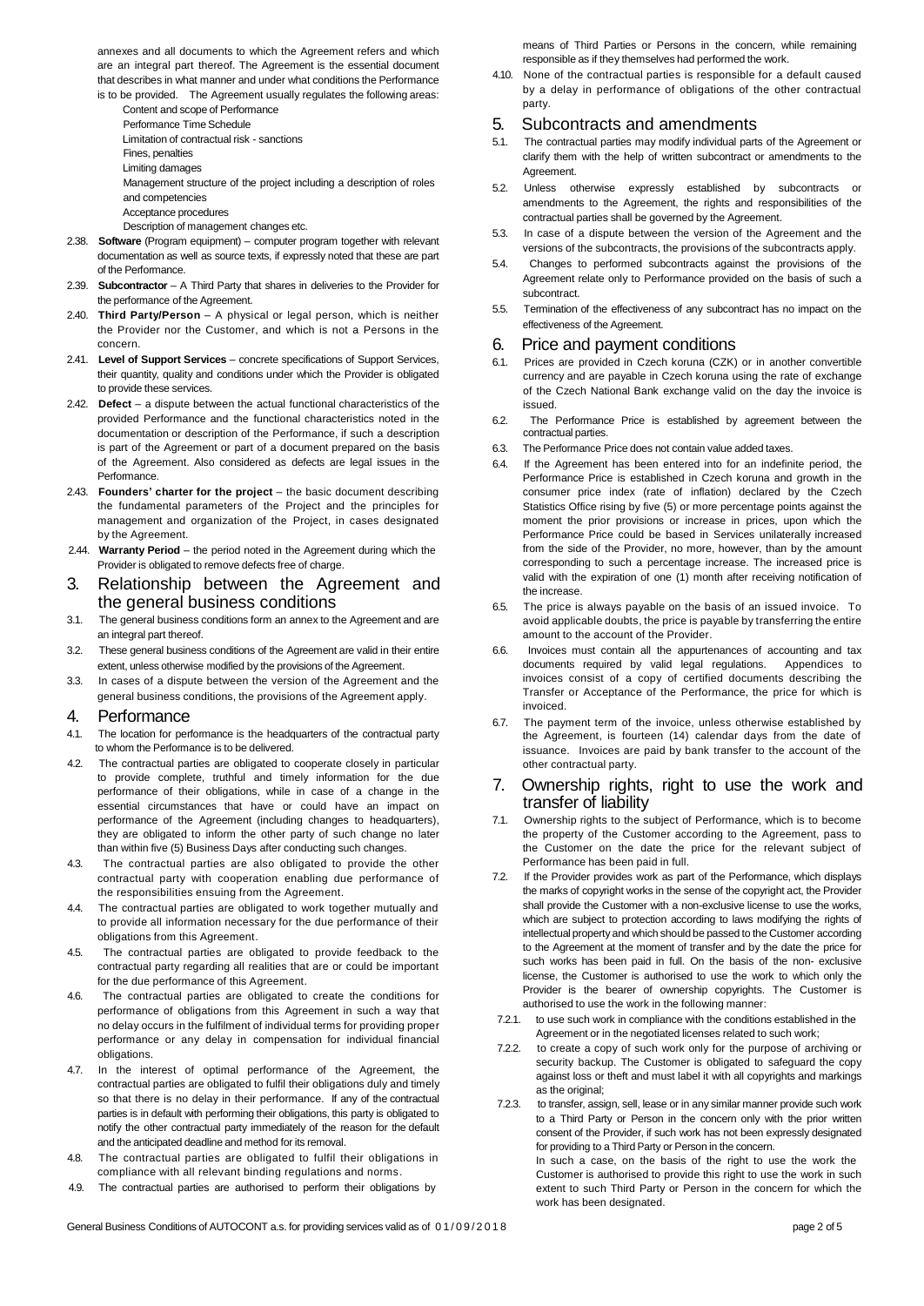annexes and all documents to which the Agreement refers and which are an integral part thereof. The Agreement is the essential document that describes in what manner and under what conditions the Performance

is to be provided. The Agreement usually regulates the following areas: Content and scope of Performance

Performance Time Schedule Limitation of contractual risk - sanctions

- Fines, penalties
- Limiting damages

Management structure of the project including a description of roles and competencies

Acceptance procedures

Description of management changes etc.

- 2.38. **Software** (Program equipment) computer program together with relevant documentation as well as source texts, if expressly noted that these are part of the Performance.
- 2.39. **Subcontractor** A Third Party that shares in deliveries to the Provider for the performance of the Agreement.
- 2.40. **Third Party/Person** A physical or legal person, which is neither the Provider nor the Customer, and which is not a Persons in the concern.
- 2.41. **Level of Support Services** concrete specifications of Support Services, their quantity, quality and conditions under which the Provider is obligated to provide these services.
- 2.42. **Defect** a dispute between the actual functional characteristics of the provided Performance and the functional characteristics noted in the documentation or description of the Performance, if such a description is part of the Agreement or part of a document prepared on the basis of the Agreement. Also considered as defects are legal issues in the **Performance**
- 2.43. **Founders' charter for the project** the basic document describing the fundamental parameters of the Project and the principles for management and organization of the Project, in cases designated by the Agreement.
- 2.44. **Warranty Period** the period noted in the Agreement during which the Provider is obligated to remove defects free of charge.

# 3. Relationship between the Agreement and the general business conditions

- 3.1. The general business conditions form an annex to the Agreement and are an integral part thereof.
- 3.2. These general business conditions of the Agreement are valid in their entire extent, unless otherwise modified by the provisions of the Agreement.
- 3.3. In cases of a dispute between the version of the Agreement and the general business conditions, the provisions of the Agreement apply.

# 4. Performance

- 4.1. The location for performance is the headquarters of the contractual party to whom the Performance is to be delivered.
- 4.2. The contractual parties are obligated to cooperate closely in particular to provide complete, truthful and timely information for the due performance of their obligations, while in case of a change in the essential circumstances that have or could have an impact on performance of the Agreement (including changes to headquarters), they are obligated to inform the other party of such change no later than within five (5) Business Days after conducting such changes.
- 4.3. The contractual parties are also obligated to provide the other contractual party with cooperation enabling due performance of the responsibilities ensuing from the Agreement.
- 4.4. The contractual parties are obligated to work together mutually and to provide all information necessary for the due performance of their obligations from this Agreement.
- 4.5. The contractual parties are obligated to provide feedback to the contractual party regarding all realities that are or could be important for the due performance of this Agreement.
- 4.6. The contractual parties are obligated to create the conditions for performance of obligations from this Agreement in such a way that no delay occurs in the fulfilment of individual terms for providing proper performance or any delay in compensation for individual financial obligations.
- 4.7. In the interest of optimal performance of the Agreement, the contractual parties are obligated to fulfil their obligations duly and timely so that there is no delay in their performance. If any of the contractual parties is in default with performing their obligations, this party is obligated to notify the other contractual party immediately of the reason for the default and the anticipated deadline and method for its removal.
- 4.8. The contractual parties are obligated to fulfil their obligations in compliance with all relevant binding regulations and norms.
- 4.9. The contractual parties are authorised to perform their obligations by

means of Third Parties or Persons in the concern, while remaining responsible as if they themselves had performed the work.

4.10. None of the contractual parties is responsible for a default caused by a delay in performance of obligations of the other contractual party.

# 5. Subcontracts and amendments

- 5.1. The contractual parties may modify individual parts of the Agreement or clarify them with the help of written subcontract or amendments to the Agreement.
- 5.2. Unless otherwise expressly established by subcontracts or amendments to the Agreement, the rights and responsibilities of the contractual parties shall be governed by the Agreement.
- 5.3. In case of a dispute between the version of the Agreement and the versions of the subcontracts, the provisions of the subcontracts apply.
- 5.4. Changes to performed subcontracts against the provisions of the Agreement relate only to Performance provided on the basis of such a subcontract.
- 5.5. Termination of the effectiveness of any subcontract has no impact on the effectiveness of the Agreement.

# 6. Price and payment conditions

- 6.1. Prices are provided in Czech koruna (CZK) or in another convertible currency and are payable in Czech koruna using the rate of exchange of the Czech National Bank exchange valid on the day the invoice is issued.
- 6.2. The Performance Price is established by agreement between the contractual parties.
- 6.3. The Performance Price does not contain value added taxes.
- 6.4. If the Agreement has been entered into for an indefinite period, the Performance Price is established in Czech koruna and growth in the consumer price index (rate of inflation) declared by the Czech Statistics Office rising by five (5) or more percentage points against the moment the prior provisions or increase in prices, upon which the Performance Price could be based in Services unilaterally increased from the side of the Provider, no more, however, than by the amount corresponding to such a percentage increase. The increased price is valid with the expiration of one (1) month after receiving notification of the increase.
- 6.5. The price is always payable on the basis of an issued invoice. To avoid applicable doubts, the price is payable by transferring the entire amount to the account of the Provider.
- 6.6. Invoices must contain all the appurtenances of accounting and tax documents required by valid legal regulations. Appendices to invoices consist of a copy of certified documents describing the Transfer or Acceptance of the Performance, the price for which is invoiced.
- 6.7. The payment term of the invoice, unless otherwise established by the Agreement, is fourteen (14) calendar days from the date of issuance. Invoices are paid by bank transfer to the account of the other contractual party.

## 7. Ownership rights, right to use the work and transfer of liability

- 7.1. Ownership rights to the subject of Performance, which is to become the property of the Customer according to the Agreement, pass to the Customer on the date the price for the relevant subject of Performance has been paid in full.
- 7.2. If the Provider provides work as part of the Performance, which displays the marks of copyright works in the sense of the copyright act, the Provider shall provide the Customer with a non-exclusive license to use the works, which are subject to protection according to laws modifying the rights of intellectual property and which should be passed to the Customer according to the Agreement at the moment of transfer and by the date the price for such works has been paid in full. On the basis of the non- exclusive license, the Customer is authorised to use the work to which only the Provider is the bearer of ownership copyrights. The Customer is authorised to use the work in the following manner:
- 7.2.1. to use such work in compliance with the conditions established in the Agreement or in the negotiated licenses related to such work;
- 7.2.2. to create a copy of such work only for the purpose of archiving or security backup. The Customer is obligated to safeguard the copy against loss or theft and must label it with all copyrights and markings as the original;

7.2.3. to transfer, assign, sell, lease or in any similar manner provide such work to a Third Party or Person in the concern only with the prior written consent of the Provider, if such work has not been expressly designated for providing to a Third Party or Person in the concern. In such a case, on the basis of the right to use the work the Customer is authorised to provide this right to use the work in such extent to such Third Party or Person in the concern for which the

work has been designated.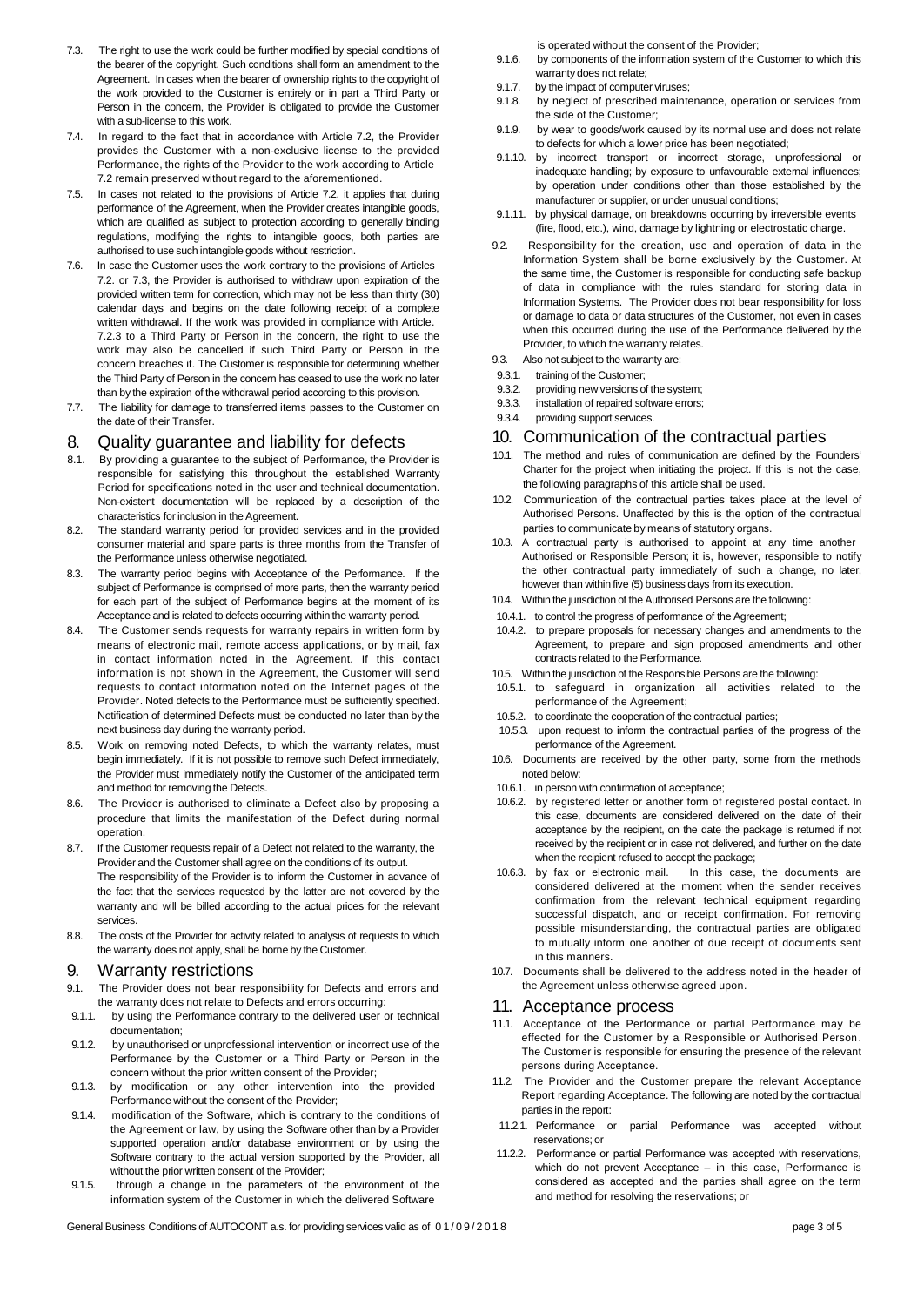- 7.3. The right to use the work could be further modified by special conditions of the bearer of the copyright. Such conditions shall form an amendment to the Agreement. In cases when the bearer of ownership rights to the copyright of the work provided to the Customer is entirely or in part a Third Party or Person in the concern, the Provider is obligated to provide the Customer with a sub-license to this work.
- 7.4. In regard to the fact that in accordance with Article 7.2, the Provider provides the Customer with a non-exclusive license to the provided Performance, the rights of the Provider to the work according to Article 7.2 remain preserved without regard to the aforementioned.
- 7.5. In cases not related to the provisions of Article 7.2, it applies that during performance of the Agreement, when the Provider creates intangible goods, which are qualified as subject to protection according to generally binding regulations, modifying the rights to intangible goods, both parties are authorised to use such intangible goods without restriction.
- 7.6. In case the Customer uses the work contrary to the provisions of Articles 7.2. or 7.3, the Provider is authorised to withdraw upon expiration of the provided written term for correction, which may not be less than thirty (30) calendar days and begins on the date following receipt of a complete written withdrawal. If the work was provided in compliance with Article. 7.2.3 to a Third Party or Person in the concern, the right to use the work may also be cancelled if such Third Party or Person in the concern breaches it. The Customer is responsible for determining whether the Third Party of Person in the concern has ceased to use the work no later than by the expiration of the withdrawal period according to this provision.
- 7.7. The liability for damage to transferred items passes to the Customer on the date of their Transfer.

## 8. Quality guarantee and liability for defects

- 8.1. By providing a guarantee to the subject of Performance, the Provider is responsible for satisfying this throughout the established Warranty Period for specifications noted in the user and technical documentation. Non-existent documentation will be replaced by a description of the characteristics for inclusion in the Agreement.
- 8.2. The standard warranty period for provided services and in the provided consumer material and spare parts is three months from the Transfer of the Performance unless otherwise negotiated.
- 8.3. The warranty period begins with Acceptance of the Performance. If the subject of Performance is comprised of more parts, then the warranty period for each part of the subject of Performance begins at the moment of its Acceptance and is related to defects occurring within the warranty period.
- The Customer sends requests for warranty repairs in written form by means of electronic mail, remote access applications, or by mail, fax in contact information noted in the Agreement. If this contact information is not shown in the Agreement, the Customer will send requests to contact information noted on the Internet pages of the Provider. Noted defects to the Performance must be sufficiently specified. Notification of determined Defects must be conducted no later than by the next business day during the warranty period.
- 8.5. Work on removing noted Defects, to which the warranty relates, must begin immediately. If it is not possible to remove such Defect immediately, the Provider must immediately notify the Customer of the anticipated term and method for removing the Defects.
- 8.6. The Provider is authorised to eliminate a Defect also by proposing a procedure that limits the manifestation of the Defect during normal operation.
- 8.7. If the Customer requests repair of a Defect not related to the warranty, the Provider and the Customer shall agree on the conditions of its output. The responsibility of the Provider is to inform the Customer in advance of the fact that the services requested by the latter are not covered by the warranty and will be billed according to the actual prices for the relevant services.
- 8.8. The costs of the Provider for activity related to analysis of requests to which the warranty does not apply, shall be borne by the Customer.

#### 9. Warranty restrictions

- 9.1. The Provider does not bear responsibility for Defects and errors and the warranty does not relate to Defects and errors occurring:
- 9.1.1. by using the Performance contrary to the delivered user or technical documentation;
- 9.1.2. by unauthorised or unprofessional intervention or incorrect use of the Performance by the Customer or a Third Party or Person in the concern without the prior written consent of the Provider;
- 9.1.3. by modification or any other intervention into the provided Performance without the consent of the Provider;
- 9.1.4. modification of the Software, which is contrary to the conditions of the Agreement or law, by using the Software other than by a Provider supported operation and/or database environment or by using the Software contrary to the actual version supported by the Provider, all without the prior written consent of the Provider;
- 9.1.5. through a change in the parameters of the environment of the information system of the Customer in which the delivered Software

is operated without the consent of the Provider;

- 9.1.6. by components of the information system of the Customer to which this warranty does not relate;
- 9.1.7. by the impact of computer viruses;<br>9.1.8 by neglect of prescribed mainte
- by neglect of prescribed maintenance, operation or services from the side of the Customer;
- 9.1.9. by wear to goods/work caused by its normal use and does not relate to defects for which a lower price has been negotiated;
- 9.1.10. by incorrect transport or incorrect storage, unprofessional or inadequate handling; by exposure to unfavourable external influences; by operation under conditions other than those established by the manufacturer or supplier, or under unusual conditions;
- 9.1.11. by physical damage, on breakdowns occurring by irreversible events (fire, flood, etc.), wind, damage by lightning or electrostatic charge.
- 9.2. Responsibility for the creation, use and operation of data in the Information System shall be borne exclusively by the Customer. At the same time, the Customer is responsible for conducting safe backup of data in compliance with the rules standard for storing data in Information Systems. The Provider does not bear responsibility for loss or damage to data or data structures of the Customer, not even in cases when this occurred during the use of the Performance delivered by the Provider, to which the warranty relates.
- 9.3. Also not subject to the warranty are:
- 9.3.1. training of the Customer;<br>9.3.2 providing new versions of
- providing new versions of the system;
- 9.3.3. installation of repaired software errors;
- 9.3.4. providing support services.

#### 10. Communication of the contractual parties

- 10.1. The method and rules of communication are defined by the Founders' Charter for the project when initiating the project. If this is not the case, the following paragraphs of this article shall be used.
- 10.2. Communication of the contractual parties takes place at the level of Authorised Persons. Unaffected by this is the option of the contractual parties to communicate by means of statutory organs.
- 10.3. A contractual party is authorised to appoint at any time another Authorised or Responsible Person; it is, however, responsible to notify the other contractual party immediately of such a change, no later, however than within five (5) business days from its execution.
- 10.4. Within the jurisdiction of the Authorised Persons are the following:
- 10.4.1. to control the progress of performance of the Agreement;
- 10.4.2. to prepare proposals for necessary changes and amendments to the Agreement, to prepare and sign proposed amendments and other contracts related to the Performance.
- 10.5. Within the jurisdiction of the Responsible Persons are the following:
- 10.5.1. to safeguard in organization all activities related to the performance of the Agreement;
- 10.5.2. to coordinate the cooperation of the contractual parties;
- 10.5.3. upon request to inform the contractual parties of the progress of the performance of the Agreement.
- 10.6. Documents are received by the other party, some from the methods noted below:
- 10.6.1. in person with confirmation of acceptance;
- 10.6.2. by registered letter or another form of registered postal contact. In this case, documents are considered delivered on the date of their acceptance by the recipient, on the date the package is returned if not received by the recipient or in case not delivered, and further on the date when the recipient refused to accept the package;<br>10.6.3. by fax or electronic mail. In this case.
- In this case, the documents are considered delivered at the moment when the sender receives confirmation from the relevant technical equipment regarding successful dispatch, and or receipt confirmation. For removing possible misunderstanding, the contractual parties are obligated to mutually inform one another of due receipt of documents sent in this manners.
- 10.7. Documents shall be delivered to the address noted in the header of the Agreement unless otherwise agreed upon.

#### 11. Acceptance process

- 11.1. Acceptance of the Performance or partial Performance may be effected for the Customer by a Responsible or Authorised Person. The Customer is responsible for ensuring the presence of the relevant persons during Acceptance.
- 11.2. The Provider and the Customer prepare the relevant Acceptance Report regarding Acceptance. The following are noted by the contractual parties in the report:
- 11.2.1. Performance or partial Performance was accepted without reservations; or
- 11.2.2. Performance or partial Performance was accepted with reservations, which do not prevent Acceptance – in this case, Performance is considered as accepted and the parties shall agree on the term and method for resolving the reservations; or

General Business Conditions of AUTOCONT a.s. for providing services valid as of  $0.1/0.9/2.01.8$  page 3 of 5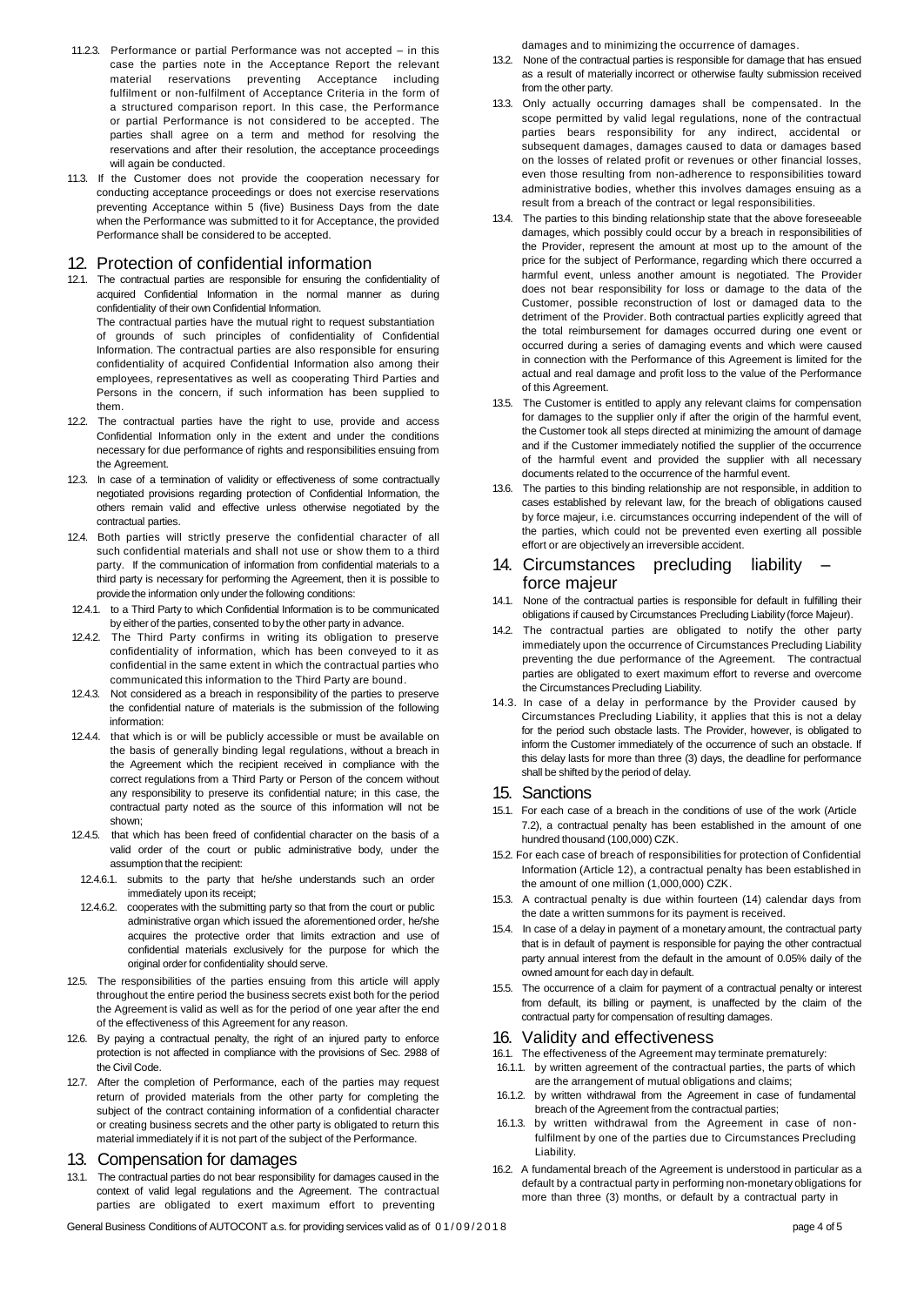- 11.2.3. Performance or partial Performance was not accepted in this case the parties note in the Acceptance Report the relevant<br>material reservations preventing Acceptance including reservations preventing Acceptance including fulfilment or non-fulfilment of Acceptance Criteria in the form of a structured comparison report. In this case, the Performance or partial Performance is not considered to be accepted. The parties shall agree on a term and method for resolving the reservations and after their resolution, the acceptance proceedings will again be conducted.
- 11.3. If the Customer does not provide the cooperation necessary for conducting acceptance proceedings or does not exercise reservations preventing Acceptance within 5 (five) Business Days from the date when the Performance was submitted to it for Acceptance, the provided Performance shall be considered to be accepted.

# 12. Protection of confidential information

12.1. The contractual parties are responsible for ensuring the confidentiality of acquired Confidential Information in the normal manner as during confidentiality of their own Confidential Information.

The contractual parties have the mutual right to request substantiation of grounds of such principles of confidentiality of Confidential Information. The contractual parties are also responsible for ensuring confidentiality of acquired Confidential Information also among their employees, representatives as well as cooperating Third Parties and Persons in the concern, if such information has been supplied to them.

- 12.2. The contractual parties have the right to use, provide and access Confidential Information only in the extent and under the conditions necessary for due performance of rights and responsibilities ensuing from the Agreement.
- 12.3. In case of a termination of validity or effectiveness of some contractually negotiated provisions regarding protection of Confidential Information, the others remain valid and effective unless otherwise negotiated by the contractual parties.
- 12.4. Both parties will strictly preserve the confidential character of all such confidential materials and shall not use or show them to a third party. If the communication of information from confidential materials to a third party is necessary for performing the Agreement, then it is possible to provide the information only under the following conditions:
- 12.4.1. to a Third Party to which Confidential Information is to be communicated by either of the parties, consented to by the other party in advance.
- 12.4.2. The Third Party confirms in writing its obligation to preserve confidentiality of information, which has been conveyed to it as confidential in the same extent in which the contractual parties who communicated this information to the Third Party are bound.
- 12.4.3. Not considered as a breach in responsibility of the parties to preserve the confidential nature of materials is the submission of the following information:
- 12.4.4. that which is or will be publicly accessible or must be available on the basis of generally binding legal regulations, without a breach in the Agreement which the recipient received in compliance with the correct regulations from a Third Party or Person of the concern without any responsibility to preserve its confidential nature; in this case, the contractual party noted as the source of this information will not be shown;
- 12.4.5. that which has been freed of confidential character on the basis of a valid order of the court or public administrative body, under the assumption that the recipient:
- 12.4.6.1. submits to the party that he/she understands such an order immediately upon its receipt;
- 12.4.6.2. cooperates with the submitting party so that from the court or public administrative organ which issued the aforementioned order, he/she acquires the protective order that limits extraction and use of confidential materials exclusively for the purpose for which the original order for confidentiality should serve.
- 12.5. The responsibilities of the parties ensuing from this article will apply throughout the entire period the business secrets exist both for the period the Agreement is valid as well as for the period of one year after the end of the effectiveness of this Agreement for any reason.
- 12.6. By paying a contractual penalty, the right of an injured party to enforce protection is not affected in compliance with the provisions of Sec. 2988 of the Civil Code.
- 12.7. After the completion of Performance, each of the parties may request return of provided materials from the other party for completing the subject of the contract containing information of a confidential character or creating business secrets and the other party is obligated to return this material immediately if it is not part of the subject of the Performance.

#### 13. Compensation for damages

13.1. The contractual parties do not bear responsibility for damages caused in the context of valid legal regulations and the Agreement. The contractual parties are obligated to exert maximum effort to preventing

damages and to minimizing the occurrence of damages.

- 13.2. None of the contractual parties is responsible for damage that has ensued as a result of materially incorrect or otherwise faulty submission received from the other party.
- 13.3. Only actually occurring damages shall be compensated. In the scope permitted by valid legal regulations, none of the contractual parties bears responsibility for any indirect, accidental or subsequent damages, damages caused to data or damages based on the losses of related profit or revenues or other financial losses, even those resulting from non-adherence to responsibilities toward administrative bodies, whether this involves damages ensuing as a result from a breach of the contract or legal responsibilities.
- 13.4. The parties to this binding relationship state that the above foreseeable damages, which possibly could occur by a breach in responsibilities of the Provider, represent the amount at most up to the amount of the price for the subject of Performance, regarding which there occurred a harmful event, unless another amount is negotiated. The Provider does not bear responsibility for loss or damage to the data of the Customer, possible reconstruction of lost or damaged data to the detriment of the Provider. Both contractual parties explicitly agreed that the total reimbursement for damages occurred during one event or occurred during a series of damaging events and which were caused in connection with the Performance of this Agreement is limited for the actual and real damage and profit loss to the value of the Performance of this Agreement.
- 13.5. The Customer is entitled to apply any relevant claims for compensation for damages to the supplier only if after the origin of the harmful event, the Customer took all steps directed at minimizing the amount of damage and if the Customer immediately notified the supplier of the occurrence of the harmful event and provided the supplier with all necessary documents related to the occurrence of the harmful event.
- 13.6. The parties to this binding relationship are not responsible, in addition to cases established by relevant law, for the breach of obligations caused by force majeur, i.e. circumstances occurring independent of the will of the parties, which could not be prevented even exerting all possible effort or are objectively an irreversible accident.

## 14. Circumstances precluding liability – force majeur

- 14.1. None of the contractual parties is responsible for default in fulfilling their obligations if caused by Circumstances Precluding Liability (force Majeur).
- 14.2. The contractual parties are obligated to notify the other party immediately upon the occurrence of Circumstances Precluding Liability preventing the due performance of the Agreement. The contractual parties are obligated to exert maximum effort to reverse and overcome the Circumstances Precluding Liability.
- 14.3. In case of a delay in performance by the Provider caused by Circumstances Precluding Liability, it applies that this is not a delay for the period such obstacle lasts. The Provider, however, is obligated to inform the Customer immediately of the occurrence of such an obstacle. If this delay lasts for more than three (3) days, the deadline for performance shall be shifted by the period of delay.

#### 15. Sanctions

- 15.1. For each case of a breach in the conditions of use of the work (Article 7.2), a contractual penalty has been established in the amount of one hundred thousand (100,000) CZK.
- 15.2. For each case of breach of responsibilities for protection of Confidential Information (Article 12), a contractual penalty has been established in the amount of one million (1,000,000) CZK.
- 15.3. A contractual penalty is due within fourteen (14) calendar days from the date a written summons for its payment is received.
- 15.4. In case of a delay in payment of a monetary amount, the contractual party that is in default of payment is responsible for paying the other contractual party annual interest from the default in the amount of 0.05% daily of the owned amount for each day in default.
- 15.5. The occurrence of a claim for payment of a contractual penalty or interest from default, its billing or payment, is unaffected by the claim of the contractual party for compensation of resulting damages.

# 16. Validity and effectiveness

- 16.1. The effectiveness of the Agreement may terminate prematurely:
- 16.1.1. by written agreement of the contractual parties, the parts of which are the arrangement of mutual obligations and claims;
- 16.1.2. by written withdrawal from the Agreement in case of fundamental breach of the Agreement from the contractual parties;
- 16.1.3. by written withdrawal from the Agreement in case of nonfulfilment by one of the parties due to Circumstances Precluding Liability.
- 16.2. A fundamental breach of the Agreement is understood in particular as a default by a contractual party in performing non-monetary obligations for more than three (3) months, or default by a contractual party in

General Business Conditions of AUTOCONT a.s. for providing services valid as of  $0.1/0.9/2.01.8$  page 4 of 5